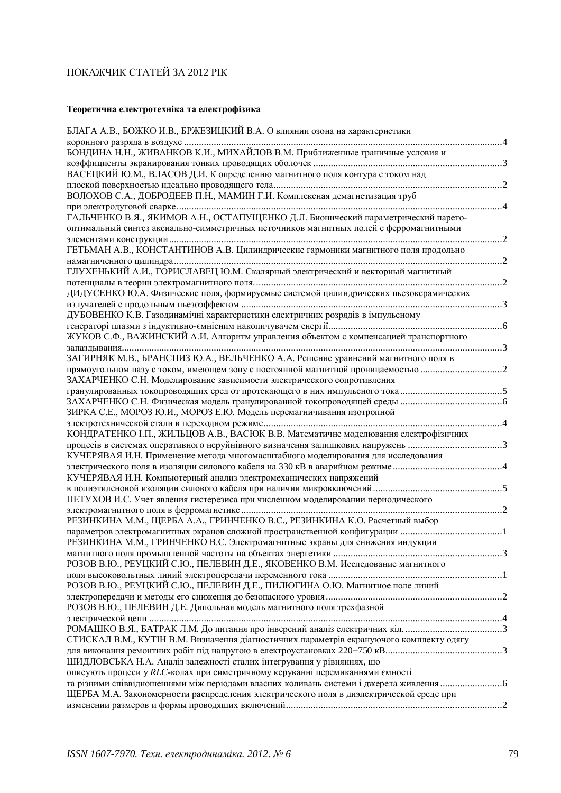# Теоретична електротехніка та електрофізика

| БЛАГА А.В., БОЖКО И.В., БРЖЕЗИЦКИЙ В.А. О влиянии озона на характеристики                                                                                           |  |
|---------------------------------------------------------------------------------------------------------------------------------------------------------------------|--|
|                                                                                                                                                                     |  |
| БОНДИНА Н.Н., ЖИВАНКОВ К.И., МИХАЙЛОВ В.М. Приближенные граничные условия и                                                                                         |  |
| ВАСЕЦКИЙ Ю.М., ВЛАСОВ Д.И. К определению магнитного поля контура с током над                                                                                        |  |
|                                                                                                                                                                     |  |
| ВОЛОХОВ С.А., ДОБРОДЕЕВ П.Н., МАМИН Г.И. Комплексная демагнетизация труб                                                                                            |  |
|                                                                                                                                                                     |  |
| ГАЛЬЧЕНКО В.Я., ЯКИМОВ А.Н., ОСТАПУЩЕНКО Д.Л. Бионический параметрический парето-                                                                                   |  |
| оптимальный синтез аксиально-симметричных источников магнитных полей с ферромагнитными                                                                              |  |
|                                                                                                                                                                     |  |
| ГЕТЬМАН А.В., КОНСТАНТИНОВ А.В. Цилиндрические гармоники магнитного поля продольно                                                                                  |  |
|                                                                                                                                                                     |  |
| ГЛУХЕНЬКИЙ А.И., ГОРИСЛАВЕЦ Ю.М. Скалярный электрический и векторный магнитный                                                                                      |  |
|                                                                                                                                                                     |  |
| ДИДУСЕНКО Ю.А. Физические поля, формируемые системой цилиндрических пьезокерамических                                                                               |  |
| ДУБОВЕНКО К.В. Газодинамічні характеристики електричних розрядів в імпульсному                                                                                      |  |
|                                                                                                                                                                     |  |
| ЖУКОВ С.Ф., ВАЖИНСКИЙ А.И. Алгоритм управления объектом с компенсацией транспортного                                                                                |  |
|                                                                                                                                                                     |  |
| ЗАГИРНЯК М.В., БРАНСПИЗ Ю.А., ВЕЛЬЧЕНКО А.А. Решение уравнений магнитного поля в                                                                                    |  |
| прямоугольном пазу с током, имеющем зону с постоянной магнитной проницаемостью                                                                                      |  |
| ЗАХАРЧЕНКО С.Н. Моделирование зависимости электрического сопротивления                                                                                              |  |
| гранулированных токопроводящих сред от протекающего в них импульсного тока 5                                                                                        |  |
|                                                                                                                                                                     |  |
| ЗИРКА С.Е., МОРОЗ Ю.И., МОРОЗ Е.Ю. Модель перемагничивания изотропной                                                                                               |  |
|                                                                                                                                                                     |  |
| КОНДРАТЕНКО І.П., ЖИЛЬЦОВ А.В., ВАСЮК В.В. Математичне моделювання електрофізичних                                                                                  |  |
| процесів в системах оперативного неруйнівного визначення залишкових напружень 3<br>КУЧЕРЯВАЯ И.Н. Применение метода многомасштабного моделирования для исследования |  |
|                                                                                                                                                                     |  |
| КУЧЕРЯВАЯ И.Н. Компьютерный анализ электромеханических напряжений                                                                                                   |  |
|                                                                                                                                                                     |  |
| ПЕТУХОВ И.С. Учет явления гистерезиса при численном моделировании периодического                                                                                    |  |
|                                                                                                                                                                     |  |
| РЕЗИНКИНА М.М., ЩЕРБА А.А., ГРИНЧЕНКО В.С., РЕЗИНКИНА К.О. Расчетный выбор                                                                                          |  |
|                                                                                                                                                                     |  |
| РЕЗИНКИНА М.М., ГРИНЧЕНКО В.С. Электромагнитные экраны для снижения индукции                                                                                        |  |
|                                                                                                                                                                     |  |
| РОЗОВ В.Ю., РЕУЦКИЙ С.Ю., ПЕЛЕВИН Д.Е., ЯКОВЕНКО В.М. Исследование магнитного                                                                                       |  |
| РОЗОВ В.Ю., РЕУЦКИЙ С.Ю., ПЕЛЕВИН Д.Е., ПИЛЮГИНА О.Ю. Магнитное поле линий                                                                                          |  |
|                                                                                                                                                                     |  |
| РОЗОВ В.Ю., ПЕЛЕВИН Д.Е. Дипольная модель магнитного поля трехфазной                                                                                                |  |
|                                                                                                                                                                     |  |
|                                                                                                                                                                     |  |
| СТИСКАЛ В.М., КУТІН В.М. Визначення діагностичних параметрів екрануючого комплекту одягу                                                                            |  |
|                                                                                                                                                                     |  |
| ШИДЛОВСЬКА Н.А. Аналіз залежності сталих інтегрування у рівняннях, що                                                                                               |  |
| описують процеси у RLC-колах при симетричному керуванні перемиканнями ємності                                                                                       |  |
| та різними співвідношеннями між періодами власних коливань системи і джерела живлення 6                                                                             |  |
| ЩЕРБА М.А. Закономерности распределения электрического поля в диэлектрической среде при                                                                             |  |
|                                                                                                                                                                     |  |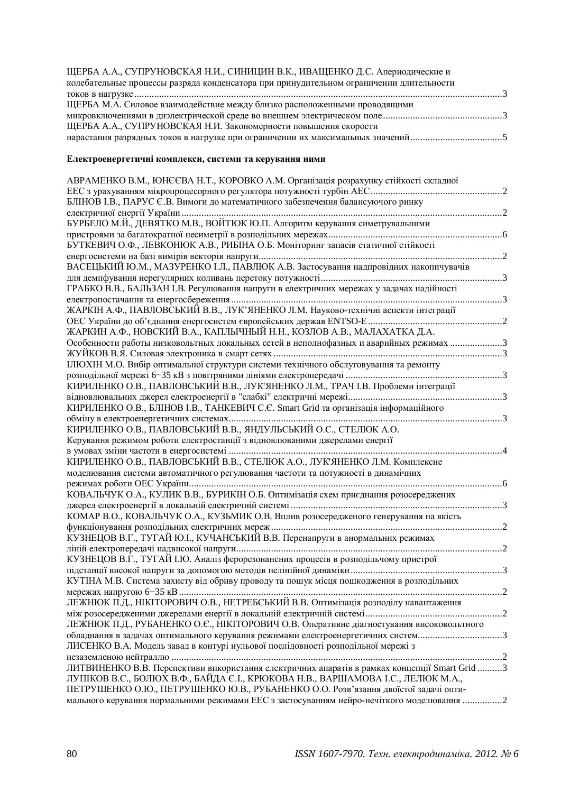| ЩЕРБА А.А., СУПРУНОВСКАЯ Н.И., СИНИЦИН В.К., ИВАЩЕНКО Д.С. Апериодические и             |  |
|-----------------------------------------------------------------------------------------|--|
| колебательные процессы разряда конденсатора при принудительном ограничении длительности |  |
|                                                                                         |  |
| ЩЕРБА М.А. Силовое взаимодействие между близко расположенными проводящими               |  |
|                                                                                         |  |
| ЩЕРБА А.А., СУПРУНОВСКАЯ Н.И. Закономерности повышения скорости                         |  |
| нарастания разрядных токов в нагрузке при ограничении их максимальных значений5         |  |

#### Електроенергетичні комплекси, системи та керування ними

| АВРАМЕНКО В.М., ЮНЄЄВА Н.Т., КОРОВКО А.М. Організація розрахунку стійкості складної                                                                                             |  |
|---------------------------------------------------------------------------------------------------------------------------------------------------------------------------------|--|
|                                                                                                                                                                                 |  |
| БЛІНОВ І.В., ПАРУС Є.В. Вимоги до математичного забезпечення балансуючого ринку                                                                                                 |  |
| БУРБЕЛО М.Й., ДЕВЯТКО М.В., ВОЙТЮК Ю.П. Алгоритм керування симетрувальними                                                                                                      |  |
|                                                                                                                                                                                 |  |
| БУТКЕВИЧ О.Ф., ЛЕВКОНЮК А.В., РИБІНА О.Б. Моніторинг запасів статичної стійкості                                                                                                |  |
|                                                                                                                                                                                 |  |
| ВАСЕЦЬКИЙ Ю.М., МАЗУРЕНКО І.Л., ПАВЛЮК А.В. Застосування надпровідних накопичувачів                                                                                             |  |
|                                                                                                                                                                                 |  |
| ГРАБКО В.В., БАЛЬЗАН I.В. Регулювання напруги в електричних мережах у задачах надійності                                                                                        |  |
|                                                                                                                                                                                 |  |
| ЖАРКІН А.Ф., ПАВЛОВСЬКИЙ В.В., ЛУК'ЯНЕНКО Л.М. Науково-технічні аспекти інтеграції                                                                                              |  |
| ЖАРКИН А.Ф., НОВСКИЙ В.А., КАПЛЫЧНЫЙ Н.Н., КОЗЛОВ А.В., МАЛАХАТКА Д.А.                                                                                                          |  |
| Особенности работы низковольтных локальных сетей в неполнофазных и аварийных режимах 3                                                                                          |  |
|                                                                                                                                                                                 |  |
| IJIЮХIН М.О. Вибір оптимальної структури системи технічного обслуговування та ремонту                                                                                           |  |
|                                                                                                                                                                                 |  |
| КИРИЛЕНКО О.В., ПАВЛОВСЬКИЙ В.В., ЛУК'ЯНЕНКО Л.М., ТРАЧ I.В. Проблеми інтеграції                                                                                                |  |
|                                                                                                                                                                                 |  |
| КИРИЛЕНКО О.В., БЛІНОВ І.В., ТАНКЕВИЧ С.Є. Smart Grid та організація інформаційного                                                                                             |  |
| КИРИЛЕНКО О.В., ПАВЛОВСЬКИЙ В.В., ЯНДУЛЬСЬКИЙ О.С., СТЕЛЮК А.О.                                                                                                                 |  |
|                                                                                                                                                                                 |  |
|                                                                                                                                                                                 |  |
| Керування режимом роботи електростанції з відновлюваними джерелами енергії                                                                                                      |  |
| КИРИЛЕНКО О.В., ПАВЛОВСЬКИЙ В.В., СТЕЛЮК А.О., ЛУК'ЯНЕНКО Л.М. Комплексне                                                                                                       |  |
| моделювання системи автоматичного регулювання частоти та потужності в динамічних                                                                                                |  |
|                                                                                                                                                                                 |  |
| КОВАЛЬЧУК О.А., КУЛИК В.В., БУРИКІН О.Б. Оптимізація схем приєднання розосереджених                                                                                             |  |
|                                                                                                                                                                                 |  |
| КОМАР В.О., КОВАЛЬЧУК О.А., КУЗЬМИК О.В. Вплив розосередженого генерування на якість                                                                                            |  |
|                                                                                                                                                                                 |  |
| КУЗНЕЦОВ В.Г., ТУГАЙ Ю.І., КУЧАНСЬКИЙ В.В. Перенапруги в анормальних режимах                                                                                                    |  |
| КУЗНЕЦОВ В.Г., ТУГАЙ І.Ю. Аналіз ферорезонансних процесів в розподільчому пристрої                                                                                              |  |
|                                                                                                                                                                                 |  |
| КУТІНА М.В. Система захисту від обриву проводу та пошук місця пошкодження в розподільних                                                                                        |  |
|                                                                                                                                                                                 |  |
| ЛЕЖНЮК П.Д., НІКІТОРОВИЧ О.В., НЕТРЕБСЬКИЙ В.В. Оптимізація розподілу навантаження                                                                                              |  |
|                                                                                                                                                                                 |  |
| ЛЕЖНЮК П.Д., РУБАНЕНКО О.С., НІКІТОРОВИЧ О.В. Оперативне діагностування високовольтного                                                                                         |  |
| обладнання в задачах оптимального керування режимами електроенергетичних систем3                                                                                                |  |
| ЛИСЕНКО В.А. Модель завад в контурі нульової послідовності розподільної мережі з                                                                                                |  |
| ЛИТВИНЕНКО В.В. Перспективи використання електричних апаратів в рамках концепції Smart Grid 3                                                                                   |  |
| ЛУПІКОВ В.С., БОЛЮХ В.Ф., БАЙДА Є.І., КРЮКОВА Н.В., ВАРШАМОВА І.С., ЛЕЛЮК М.А.,                                                                                                 |  |
| ПЕТРУШЕНКО О.Ю., ПЕТРУШЕНКО Ю.В., РУБАНЕНКО О.О. Розв'язання двоїстої задачі опти-<br>мального керування нормальними режимами ЕЕС з застосуванням нейро-нечіткого моделювання 2 |  |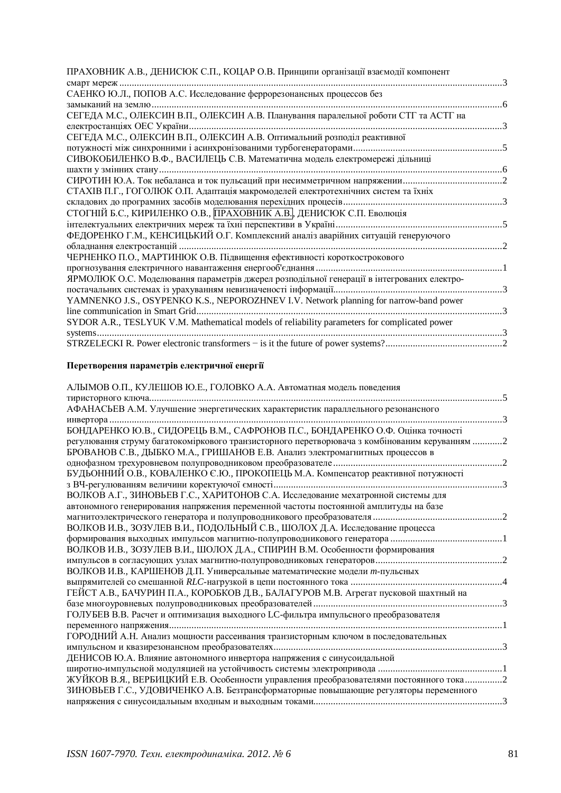| $\mathcal{D}$            |
|--------------------------|
|                          |
|                          |
|                          |
|                          |
|                          |
| $\overline{\phantom{a}}$ |
|                          |
|                          |
|                          |
|                          |

## Перетворення параметрів електричної енергії

| АЛЫМОВ О.П., КУЛЕШОВ Ю.Е., ГОЛОВКО А.А. Автоматная модель поведения                           |  |
|-----------------------------------------------------------------------------------------------|--|
|                                                                                               |  |
| АФАНАСЬЕВ А.М. Улучшение энергетических характеристик параллельного резонансного              |  |
| инвертора                                                                                     |  |
| БОНДАРЕНКО Ю.В., СИДОРЕЦЬ В.М., САФРОНОВ П.С., БОНДАРЕНКО О.Ф. Оцінка точності                |  |
| регулювання струму багатокоміркового транзисторного перетворювача з комбінованим керуванням 2 |  |
| БРОВАНОВ С.В., ДЫБКО М.А., ГРИШАНОВ Е.В. Анализ электромагнитных процессов в                  |  |
|                                                                                               |  |
| БУДЬОННИЙ О.В., КОВАЛЕНКО Є.Ю., ПРОКОПЕЦЬ М.А. Компенсатор реактивної потужності              |  |
|                                                                                               |  |
| ВОЛКОВ А.Г., ЗИНОВЬЕВ Г.С., ХАРИТОНОВ С.А. Исследование мехатронной системы для               |  |
| автономного генерирования напряжения переменной частоты постоянной амплитуды на базе          |  |
|                                                                                               |  |
| ВОЛКОВ И.В., ЗОЗУЛЕВ В.И., ПОДОЛЬНЫЙ С.В., ШОЛОХ Д.А. Исследование процесса                   |  |
|                                                                                               |  |
| ВОЛКОВ И.В., ЗОЗУЛЕВ В.И., ШОЛОХ Д.А., СПИРИН В.М. Особенности формирования                   |  |
|                                                                                               |  |
| ВОЛКОВ И.В., КАРШЕНОВ Д.П. Универсальные математические модели т-пульсных                     |  |
|                                                                                               |  |
| ГЕЙСТ А.В., БАЧУРИН П.А., КОРОБКОВ Д.В., БАЛАГУРОВ М.В. Агрегат пусковой шахтный на           |  |
|                                                                                               |  |
| ГОЛУБЕВ В.В. Расчет и оптимизация выходного LC-фильтра импульсного преобразователя            |  |
|                                                                                               |  |
| ГОРОДНИЙ А.Н. Анализ мощности рассеивания транзисторным ключом в последовательных             |  |
|                                                                                               |  |
| ДЕНИСОВ Ю.А. Влияние автономного инвертора напряжения с синусоидальной                        |  |
|                                                                                               |  |
| ЖУЙКОВ В.Я., ВЕРБИЦКИЙ Е.В. Особенности управления преобразователями постоянного тока 2       |  |
| ЗИНОВЬЕВ Г.С., УДОВИЧЕНКО А.В. Безтрансформаторные повышающие регуляторы переменного          |  |
|                                                                                               |  |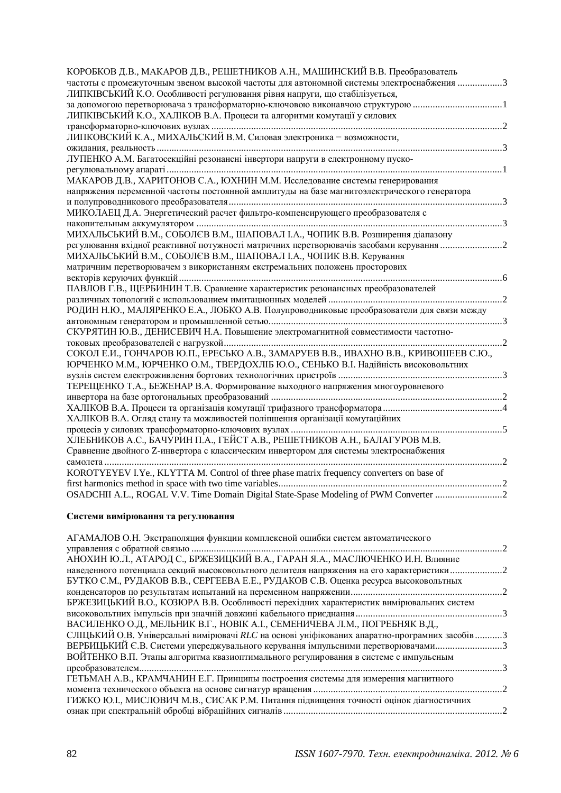| КОРОБКОВ Д.В., МАКАРОВ Д.В., РЕШЕТНИКОВ А.Н., МАШИНСКИЙ В.В. Преобразователь                                                                           |  |
|--------------------------------------------------------------------------------------------------------------------------------------------------------|--|
| частоты с промежуточным звеном высокой частоты для автономной системы электроснабжения 3                                                               |  |
| ЛИПКІВСЬКИЙ К.О. Особливості регулювання рівня напруги, що стабілізується,                                                                             |  |
| за допомогою перетворювача з трансформаторно-ключовою виконавчою структурою<br>ЛИПКІВСЬКИЙ К.О., ХАЛІКОВ В.А. Процеси та алгоритми комутації у силових |  |
|                                                                                                                                                        |  |
| ЛИПКОВСКИЙ К.А., МИХАЛЬСКИЙ В.М. Силовая электроника – возможности,                                                                                    |  |
|                                                                                                                                                        |  |
| ЛУПЕНКО А.М. Багатосекційні резонансні інвертори напруги в електронному пуско-                                                                         |  |
|                                                                                                                                                        |  |
| МАКАРОВ Д.В., ХАРИТОНОВ С.А., ЮХНИН М.М. Исследование системы генерирования                                                                            |  |
| напряжения переменной частоты постоянной амплитуды на базе магнитоэлектрического генератора                                                            |  |
|                                                                                                                                                        |  |
| МИКОЛАЕЦ Д.А. Энергетический расчет фильтро-компенсирующего преобразователя с                                                                          |  |
|                                                                                                                                                        |  |
| МИХАЛЬСЬКИЙ В.М., СОБОЛЄВ В.М., ШАПОВАЛ І.А., ЧОПИК В.В. Розширення діапазону                                                                          |  |
| регулювання вхідної реактивної потужності матричних перетворювачів засобами керування 2                                                                |  |
| МИХАЛЬСЬКИЙ В.М., СОБОЛЄВ В.М., ШАПОВАЛ І.А., ЧОПИК В.В. Керування                                                                                     |  |
| матричним перетворювачем з використанням екстремальних положень просторових                                                                            |  |
|                                                                                                                                                        |  |
| ПАВЛОВ Г.В., ЩЕРБИНИН Т.В. Сравнение характеристик резонансных преобразователей                                                                        |  |
|                                                                                                                                                        |  |
| РОДИН Н.Ю., МАЛЯРЕНКО Е.А., ЛОБКО А.В. Полупроводниковые преобразователи для связи между                                                               |  |
|                                                                                                                                                        |  |
| СКУРЯТИН Ю.В., ДЕНИСЕВИЧ Н.А. Повышение электромагнитной совместимости частотно-                                                                       |  |
|                                                                                                                                                        |  |
| СОКОЛ Е.И., ГОНЧАРОВ Ю.П., ЕРЕСЬКО А.В., ЗАМАРУЕВ В.В., ИВАХНО В.В., КРИВОШЕЕВ С.Ю.,                                                                   |  |
| ЮРЧЕНКО М.М., ЮРЧЕНКО О.М., ТВЕРДОХЛІБ Ю.О., СЕНЬКО В.І. Надійність високовольтних                                                                     |  |
|                                                                                                                                                        |  |
| ТЕРЕЩЕНКО Т.А., БЕЖЕНАР В.А. Формирование выходного напряжения многоуровневого                                                                         |  |
|                                                                                                                                                        |  |
|                                                                                                                                                        |  |
| ХАЛІКОВ В.А. Огляд стану та можливостей поліпшення організації комутаційних                                                                            |  |
|                                                                                                                                                        |  |
| ХЛЕБНИКОВ А.С., БАЧУРИН П.А., ГЕЙСТ А.В., РЕШЕТНИКОВ А.Н., БАЛАГУРОВ М.В.                                                                              |  |
| Сравнение двойного Z-инвертора с классическим инвертором для системы электроснабжения                                                                  |  |
|                                                                                                                                                        |  |
| KOROTYEYEV I.Ye., KLYTTA M. Control of three phase matrix frequency converters on base of                                                              |  |
|                                                                                                                                                        |  |
| OSADCHII A.L., ROGAL V.V. Time Domain Digital State-Spase Modeling of PWM Converter 2                                                                  |  |

### Системи вимірювання та регулювання

| АГАМАЛОВ О.Н. Экстраполяция функции комплексной ошибки систем автоматического                  |  |
|------------------------------------------------------------------------------------------------|--|
|                                                                                                |  |
| АНОХИН Ю.Л., АТАРОД С., БРЖЕЗИЦКИЙ В.А., ГАРАН Я.А., МАСЛЮЧЕНКО И.Н. Влияние                   |  |
| наведенного потенциала секций высоковольтного делителя напряжения на его характеристики2       |  |
| БУТКО С.М., РУДАКОВ В.В., СЕРГЕЕВА Е.Е., РУДАКОВ С.В. Оценка ресурса высоковольтных            |  |
|                                                                                                |  |
| БРЖЕЗИЦЬКИЙ В.О., КОЗЮРА В.В. Особливості перехідних характеристик вимірювальних систем        |  |
|                                                                                                |  |
| ВАСИЛЕНКО О.Д., МЕЛЬНИК В.Г., НОВІК А.І., СЕМЕНИЧЕВА Л.М., ПОГРЕБНЯК В.Д.,                     |  |
| СЛІЦЬКИЙ О.В. Універсальні вимірювачі RLC на основі уніфікованих апаратно-програмних засобів 3 |  |
| ВЕРБИЦЬКИЙ С.В. Системи упереджувального керування імпульсними перетворювачами3                |  |
| ВОЙТЕНКО В.П. Этапы алгоритма квазиоптимального регулирования в системе с импульсным           |  |
|                                                                                                |  |
| ГЕТЬМАН А.В., КРАМЧАНИН Е.Г. Принципы построения системы для измерения магнитного              |  |
|                                                                                                |  |
| ГИЖКО Ю.І., МИСЛОВИЧ М.В., СИСАК Р.М. Питання підвищення точності оцінок діагностичних         |  |
|                                                                                                |  |
|                                                                                                |  |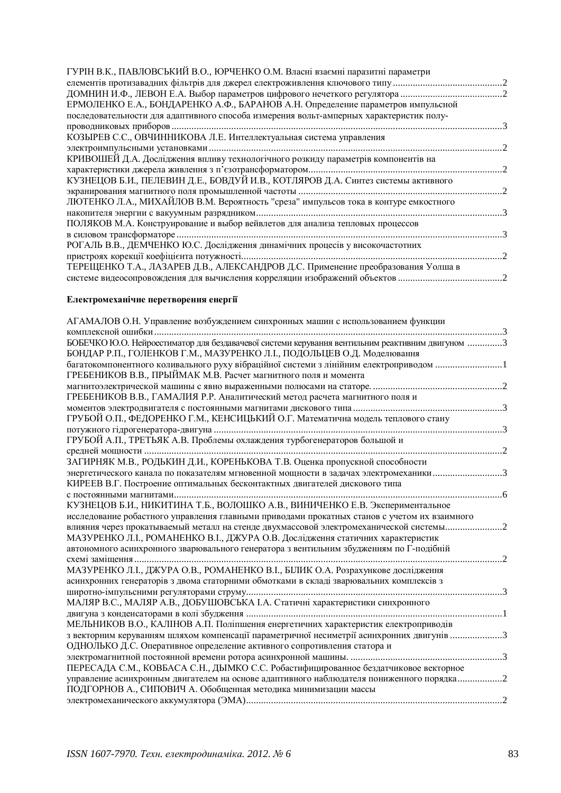### **Електромеханічне перетворення енергії**

| АГАМАЛОВ О.Н. Управление возбуждением синхронных машин с использованием функции                 |  |
|-------------------------------------------------------------------------------------------------|--|
|                                                                                                 |  |
| БОБЕЧКО Ю.О. Нейроестиматор для бездавачевої системи керування вентильним реактивним двигуном 3 |  |
| БОНДАР Р.П., ГОЛЕНКОВ Г.М., МАЗУРЕНКО Л.І., ПОДОЛЬЦЕВ О.Д. Моделювання                          |  |
| багатокомпонентного коливального руху вібраційної системи з лінійним електроприводом 1          |  |
| ГРЕБЕНИКОВ В.В., ПРЫЙМАК М.В. Расчет магнитного поля и момента                                  |  |
|                                                                                                 |  |
| ГРЕБЕНИКОВ В.В., ГАМАЛИЯ Р.Р. Аналитический метод расчета магнитного поля и                     |  |
|                                                                                                 |  |
| ГРУБОЙ О.П., ФЕДОРЕНКО Г.М., КЕНСИЦЬКИЙ О.Г. Математична модель теплового стану                 |  |
|                                                                                                 |  |
| ГРУБОЙ А.П., ТРЕТЬЯК А.В. Проблемы охлаждения турбогенераторов большой и                        |  |
|                                                                                                 |  |
| ЗАГИРНЯК М.В., РОДЬКИН Д.И., КОРЕНЬКОВА Т.В. Оценка пропускной способности                      |  |
| энергетического канала по показателям мгновенной мощности в задачах электромеханики             |  |
| КИРЕЕВ В.Г. Построение оптимальных бесконтактных двигателей дискового типа                      |  |
| с постоянными магнитами                                                                         |  |
| КУЗНЕЦОВ Б.И., НИКИТИНА Т.Б., ВОЛОШКО А.В., ВИНИЧЕНКО Е.В. Экспериментальное                    |  |
| исследование робастного управления главными приводами прокатных станов с учетом их взаимного    |  |
| влияния через прокатываемый металл на стенде двухмассовой электромеханической системы           |  |
| МАЗУРЕНКО Л.I., РОМАНЕНКО В.I., ДЖУРА О.В. Дослідження статичних характеристик                  |  |
| автономного асинхронного зварювального генератора з вентильним збудженням по Г-подібній         |  |
|                                                                                                 |  |
| МАЗУРЕНКО Л.І., ДЖУРА О.В., РОМАНЕНКО В.І., БІЛИК О.А. Розрахункове дослідження                 |  |
| асинхронних генераторів з двома статорними обмотками в складі зварювальних комплексів з         |  |
|                                                                                                 |  |
| МАЛЯР В.С., МАЛЯР А.В., ДОБУШОВСЬКА І.А. Статичні характеристики синхронного                    |  |
|                                                                                                 |  |
| МЕЛЬНИКОВ В.О., КАЛІНОВ А.П. Поліпшення енергетичних характеристик електроприводів              |  |
| 3 векторним керуванням шляхом компенсації параметричної несиметрії асинхронних двигунів 3       |  |
| ОДНОЛЬКО Д.С. Оперативное определение активного сопротивления статора и                         |  |
|                                                                                                 |  |
| ПЕРЕСАДА С.М., КОВБАСА С.Н., ДЫМКО С.С. Робастифицированное бездатчиковое векторное             |  |
| управление асинхронным двигателем на основе адаптивного наблюдателя пониженного порядка2        |  |
| ПОДГОРНОВ А., СИПОВИЧ А. Обобщенная методика минимизации массы                                  |  |
|                                                                                                 |  |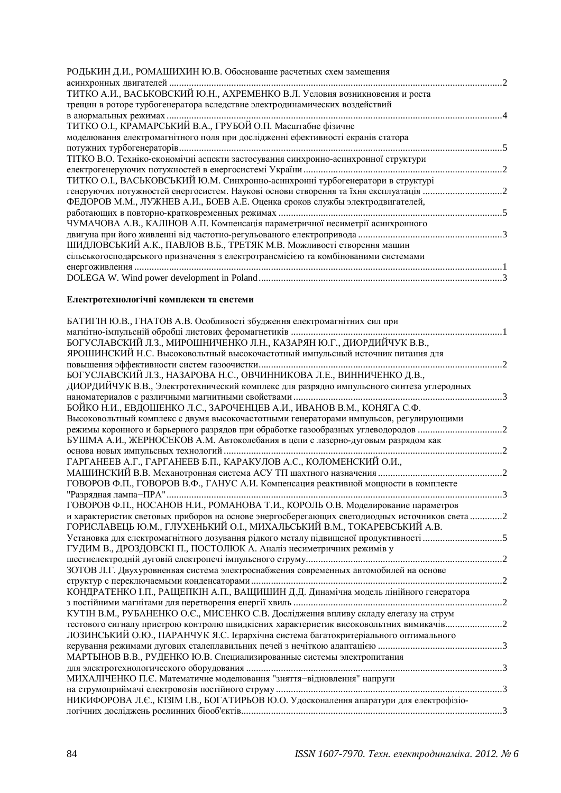| РОДЬКИН Д.И., РОМАШИХИН Ю.В. Обоснование расчетных схем замещения                  |  |
|------------------------------------------------------------------------------------|--|
|                                                                                    |  |
| ТИТКО А.И., ВАСЬКОВСКИЙ Ю.Н., АХРЕМЕНКО В.Л. Условия возникновения и роста         |  |
| трещин в роторе турбогенератора вследствие электродинамических воздействий         |  |
|                                                                                    |  |
| ТИТКО О.І., КРАМАРСЬКИЙ В.А., ГРУБОЙ О.П. Масштабне фізичне                        |  |
| моделювання електромагнітного поля при дослідженні ефективності екранів статора    |  |
|                                                                                    |  |
| ТІТКО В.О. Техніко-економічні аспекти застосування синхронно-асинхронної структури |  |
|                                                                                    |  |
| ТИТКО О.І., ВАСЬКОВСЬКИЙ Ю.М. Синхронно-асинхронні турбогенератори в структурі     |  |
|                                                                                    |  |
| ФЕДОРОВ М.М., ЛУЖНЕВ А.И., БОЕВ А.Е. Оценка сроков службы электродвигателей,       |  |
|                                                                                    |  |
| ЧУМАЧОВА А.В., КАЛІНОВ А.П. Компенсація параметричної несиметрії асинхронного      |  |
|                                                                                    |  |
| ШИДЛОВСЬКИЙ А.К., ПАВЛОВ В.Б., ТРЕТЯК М.В. Можливості створення машин              |  |
| сільськогосподарського призначення з електротрансмісією та комбінованими системами |  |
|                                                                                    |  |
|                                                                                    |  |

### **Електротехнологічні комплекси та системи**

| БАТИГІН Ю.В., ГНАТОВ А.В. Особливості збудження електромагнітних сил при                      |  |
|-----------------------------------------------------------------------------------------------|--|
| магнітно-імпульсній обробці листових феромагнетиків                                           |  |
| БОГУСЛАВСКИЙ Л.З., МИРОШНИЧЕНКО Л.Н., КАЗАРЯН Ю.Г., ДИОРДИЙЧУК В.В.,                          |  |
| ЯРОШИНСКИЙ Н.С. Высоковольтный высокочастотный импульсный источник питания для                |  |
|                                                                                               |  |
| БОГУСЛАВСКИЙ Л.З., НАЗАРОВА Н.С., ОВЧИННИКОВА Л.Е., ВИННИЧЕНКО Д.В.,                          |  |
| ДИОРДИЙЧУК В.В., Электротехнический комплекс для разрядно импульсного синтеза углеродных      |  |
|                                                                                               |  |
| БОЙКО Н.И., ЕВДОШЕНКО Л.С., ЗАРОЧЕНЦЕВ А.И., ИВАНОВ В.М., КОНЯГА С.Ф.                         |  |
| Высоковольтный комплекс с двумя высокочастотными генераторами импульсов, регулирующими        |  |
| режимы коронного и барьерного разрядов при обработке газообразных углеводородов               |  |
| БУШМА А.И., ЖЕРНОСЕКОВ А.М. Автоколебания в цепи с лазерно-дуговым разрядом как               |  |
|                                                                                               |  |
| ГАРГАНЕЕВ А.Г., ГАРГАНЕЕВ Б.П., КАРАКУЛОВ А.С., КОЛОМЕНСКИЙ О.И.,                             |  |
|                                                                                               |  |
| ГОВОРОВ Ф.П., ГОВОРОВ В.Ф., ГАНУС А.И. Компенсация реактивной мощности в комплекте            |  |
|                                                                                               |  |
| ГОВОРОВ Ф.П., НОСАНОВ Н.И., РОМАНОВА Т.И., КОРОЛЬ О.В. Моделирование параметров               |  |
| и характеристик световых приборов на основе энергосберегающих светодиодных источников света 2 |  |
| ГОРИСЛАВЕЦЬ Ю.М., ГЛУХЕНЬКИЙ О.І., МИХАЛЬСЬКИЙ В.М., ТОКАРЕВСЬКИЙ А.В.                        |  |
| Установка для електромагнітного дозування рідкого металу підвищеної продуктивності 5          |  |
| ГУДИМ В., ДРОЗДОВСКІ П., ПОСТОЛЮК А. Аналіз несиметричних режимів у                           |  |
|                                                                                               |  |
| ЗОТОВ Л.Г. Двухуровненвая система электроснабжения современных автомобилей на основе          |  |
|                                                                                               |  |
| КОНДРАТЕНКО І.П., РАЩЕПКІН А.П., ВАЩИШИН Д.Д. Динамічна модель лінійного генератора           |  |
|                                                                                               |  |
| КУТІН В.М., РУБАНЕНКО О.С., МИСЕНКО С.В. Дослідження впливу складу елегазу на струм           |  |
| тестового сигналу пристрою контролю швидкісних характеристик високовольтних вимикачів2        |  |
| ЛОЗИНСЬКИЙ О.Ю., ПАРАНЧУК Я.С. Ієрархічна система багатокритеріального оптимального           |  |
|                                                                                               |  |
| МАРТЫНОВ В.В., РУДЕНКО Ю.В. Специализированные системы электропитания                         |  |
|                                                                                               |  |
| МИХАЛІЧЕНКО П.Є. Математичне моделювання "зняття-відновлення" напруги                         |  |
|                                                                                               |  |
| НИКИФОРОВА Л.Є., КІЗІМ І.В., БОГАТИРЬОВ Ю.О. Удосконалення апаратури для електрофізіо-        |  |
|                                                                                               |  |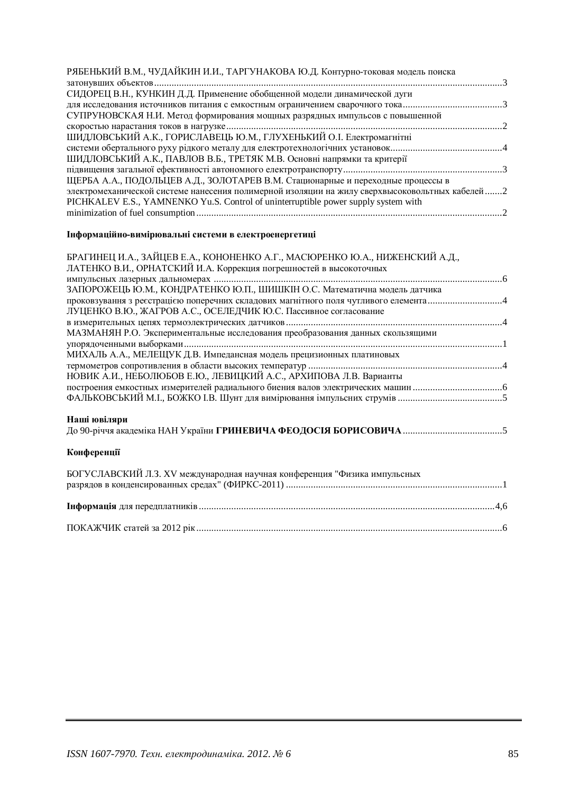| СИДОРЕЦ В.Н., КУНКИН Д.Д. Применение обобщенной модели динамической дуги<br>СУПРУНОВСКАЯ Н.И. Метод формирования мощных разрядных импульсов с повышенной<br>ШИДЛОВСЬКИЙ А.К., ГОРИСЛАВЕЦЬ Ю.М., ГЛУХЕНЬКИЙ О.І. Електромагнітні<br>ШИДЛОВСЬКИЙ А.К., ПАВЛОВ В.Б., ТРЕТЯК М.В. Основні напрямки та критерії |
|------------------------------------------------------------------------------------------------------------------------------------------------------------------------------------------------------------------------------------------------------------------------------------------------------------|
|                                                                                                                                                                                                                                                                                                            |
|                                                                                                                                                                                                                                                                                                            |
|                                                                                                                                                                                                                                                                                                            |
|                                                                                                                                                                                                                                                                                                            |
|                                                                                                                                                                                                                                                                                                            |
|                                                                                                                                                                                                                                                                                                            |
|                                                                                                                                                                                                                                                                                                            |
|                                                                                                                                                                                                                                                                                                            |
|                                                                                                                                                                                                                                                                                                            |
| ЩЕРБА А.А., ПОДОЛЬЦЕВ А.Д., ЗОЛОТАРЕВ В.М. Стационарные и переходные процессы в                                                                                                                                                                                                                            |
| электромеханической системе нанесения полимерной изоляции на жилу сверхвысоковольтных кабелей 2                                                                                                                                                                                                            |
| PICHKALEV E.S., YAMNENKO Yu.S. Control of uninterruptible power supply system with                                                                                                                                                                                                                         |
|                                                                                                                                                                                                                                                                                                            |

# **Інформаційно-вимірювальні системи в електроенергетиці**

| БРАГИНЕЦ И.А., ЗАЙЦЕВ Е.А., КОНОНЕНКО А.Г., МАСЮРЕНКО Ю.А., НИЖЕНСКИЙ А.Д.,<br>ЛАТЕНКО В.И., ОРНАТСКИЙ И.А. Коррекция погрешностей в высокоточных                                                                                     |  |
|---------------------------------------------------------------------------------------------------------------------------------------------------------------------------------------------------------------------------------------|--|
| ЗАПОРОЖЕЦЬ Ю.М., КОНДРАТЕНКО Ю.П., ШИШКІН О.С. Математична модель датчика<br>проковзування з ресстрацією поперечних складових магнітного поля чутливого елемента4<br>ЛУЦЕНКО В.Ю., ЖАГРОВ А.С., ОСЕЛЕДЧИК Ю.С. Пассивное согласование |  |
| МАЗМАНЯН Р.О. Экспериментальные исследования преобразования данных скользящими                                                                                                                                                        |  |
| МИХАЛЬ А.А., МЕЛЕЩУК Д.В. Импедансная модель прецизионных платиновых<br>НОВИК А.И., НЕБОЛЮБОВ Е.Ю., ЛЕВИЦКИЙ А.С., АРХИПОВА Л.В. Варианты                                                                                             |  |
|                                                                                                                                                                                                                                       |  |
| Наші ювіляри                                                                                                                                                                                                                          |  |

# Конференції

| БОГУСЛАВСКИЙ Л.З. XV международная научная конференция "Физика импульсных |  |
|---------------------------------------------------------------------------|--|
|                                                                           |  |
|                                                                           |  |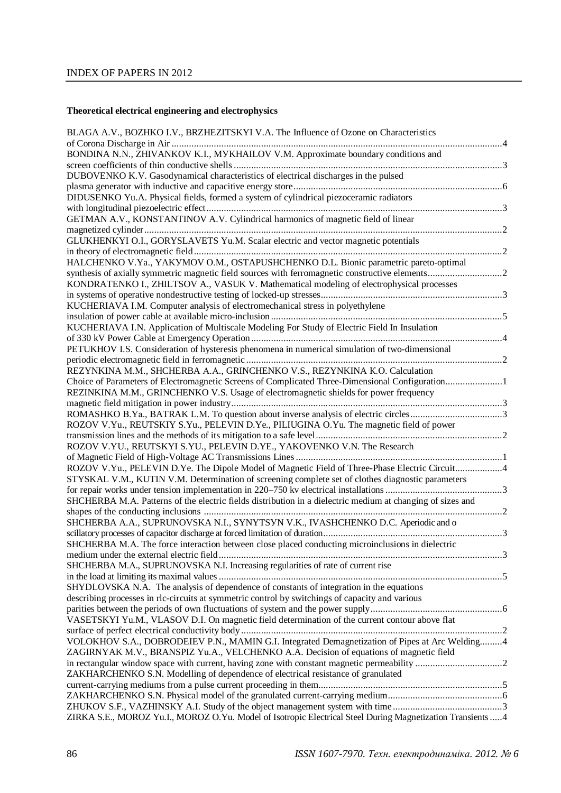# **Theoretical electrical engineering and electrophysics**

| BLAGA A.V., BOZHKO I.V., BRZHEZITSKYI V.A. The Influence of Ozone on Characteristics                       |  |
|------------------------------------------------------------------------------------------------------------|--|
| BONDINA N.N., ZHIVANKOV K.I., MYKHAILOV V.M. Approximate boundary conditions and                           |  |
|                                                                                                            |  |
| DUBOVENKO K.V. Gasodynamical characteristics of electrical discharges in the pulsed                        |  |
| DIDUSENKO Yu.A. Physical fields, formed a system of cylindrical piezoceramic radiators                     |  |
|                                                                                                            |  |
| GETMAN A.V., KONSTANTINOV A.V. Cylindrical harmonics of magnetic field of linear                           |  |
|                                                                                                            |  |
| GLUKHENKYI O.I., GORYSLAVETS Yu.M. Scalar electric and vector magnetic potentials                          |  |
|                                                                                                            |  |
| HALCHENKO V.Ya., YAKYMOV O.M., OSTAPUSHCHENKO D.L. Bionic parametric pareto-optimal                        |  |
|                                                                                                            |  |
| KONDRATENKO I., ZHILTSOV A., VASUK V. Mathematical modeling of electrophysical processes                   |  |
|                                                                                                            |  |
| KUCHERIAVA I.M. Computer analysis of electromechanical stress in polyethylene                              |  |
|                                                                                                            |  |
|                                                                                                            |  |
| KUCHERIAVA I.N. Application of Multiscale Modeling For Study of Electric Field In Insulation               |  |
|                                                                                                            |  |
| PETUKHOV I.S. Consideration of hysteresis phenomena in numerical simulation of two-dimensional             |  |
|                                                                                                            |  |
| REZYNKINA M.M., SHCHERBA A.A., GRINCHENKO V.S., REZYNKINA K.O. Calculation                                 |  |
| Choice of Parameters of Electromagnetic Screens of Complicated Three-Dimensional Configuration1            |  |
| REZINKINA M.M., GRINCHENKO V.S. Usage of electromagnetic shields for power frequency                       |  |
|                                                                                                            |  |
| ROMASHKO B.Ya., BATRAK L.M. To question about inverse analysis of electric circles3                        |  |
| ROZOV V.Yu., REUTSKIY S.Yu., PELEVIN D.Ye., PILIUGINA O.Yu. The magnetic field of power                    |  |
|                                                                                                            |  |
| ROZOV V.YU., REUTSKYI S.YU., PELEVIN D.YE., YAKOVENKO V.N. The Research                                    |  |
|                                                                                                            |  |
|                                                                                                            |  |
| ROZOV V.Yu., PELEVIN D.Ye. The Dipole Model of Magnetic Field of Three-Phase Electric Circuit4             |  |
| STYSKAL V.M., KUTIN V.M. Determination of screening complete set of clothes diagnostic parameters          |  |
|                                                                                                            |  |
| SHCHERBA M.A. Patterns of the electric fields distribution in a dielectric medium at changing of sizes and |  |
|                                                                                                            |  |
| SHCHERBA A.A., SUPRUNOVSKA N.I., SYNYTSYN V.K., IVASHCHENKO D.C. Aperiodic and o                           |  |
|                                                                                                            |  |
| SHCHERBA M.A. The force interaction between close placed conducting microinclusions in dielectric          |  |
|                                                                                                            |  |
| SHCHERBA M.A., SUPRUNOVSKA N.I. Increasing regularities of rate of current rise                            |  |
|                                                                                                            |  |
| SHYDLOVSKA N.A. The analysis of dependence of constants of integration in the equations                    |  |
|                                                                                                            |  |
| describing processes in rlc-circuits at symmetric control by switchings of capacity and various            |  |
|                                                                                                            |  |
| VASETSKYI Yu.M., VLASOV D.I. On magnetic field determination of the current contour above flat             |  |
|                                                                                                            |  |
| VOLOKHOV S.A., DOBRODEIEV P.N., MAMIN G.I. Integrated Demagnetization of Pipes at Arc Welding4             |  |
| ZAGIRNYAK M.V., BRANSPIZ Yu.A., VELCHENKO A.A. Decision of equations of magnetic field                     |  |
|                                                                                                            |  |
| ZAKHARCHENKO S.N. Modelling of dependence of electrical resistance of granulated                           |  |
|                                                                                                            |  |
|                                                                                                            |  |
|                                                                                                            |  |
|                                                                                                            |  |
| ZIRKA S.E., MOROZ Yu.I., MOROZ O.Yu. Model of Isotropic Electrical Steel During Magnetization Transients 4 |  |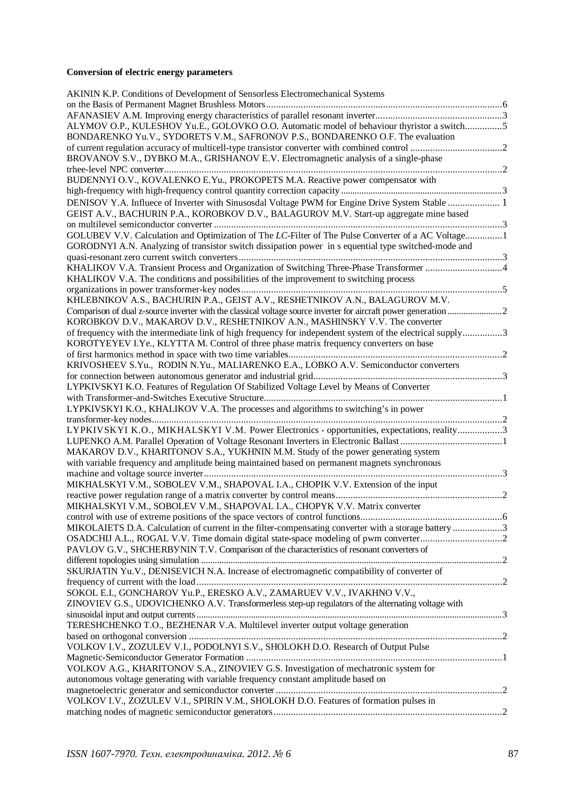# **Conversion of electric energy parameters**

| AKININ K.P. Conditions of Development of Sensorless Electromechanical Systems                                                                                                     |  |
|-----------------------------------------------------------------------------------------------------------------------------------------------------------------------------------|--|
|                                                                                                                                                                                   |  |
|                                                                                                                                                                                   |  |
| ALYMOV O.P., KULESHOV Yu.E., GOLOVKO O.O. Automatic model of behaviour thyristor a switch5<br>BONDARENKO Yu.V., SYDORETS V.M., SAFRONOV P.S., BONDARENKO O.F. The evaluation      |  |
|                                                                                                                                                                                   |  |
| BROVANOV S.V., DYBKO M.A., GRISHANOV E.V. Electromagnetic analysis of a single-phase                                                                                              |  |
| BUDENNYI O.V., KOVALENKO E.Yu., PROKOPETS M.A. Reactive power compensator with                                                                                                    |  |
|                                                                                                                                                                                   |  |
| DENISOV Y.A. Influece of Inverter with Sinusosdal Voltage PWM for Engine Drive System Stable  1                                                                                   |  |
| GEIST A.V., BACHURIN P.A., KOROBKOV D.V., BALAGUROV M.V. Start-up aggregate mine based                                                                                            |  |
| GOLUBEV V.V. Calculation and Optimization of The LC-Filter of The Pulse Converter of a AC Voltage1                                                                                |  |
| GORODNYI A.N. Analyzing of transistor switch dissipation power in s equential type switched-mode and                                                                              |  |
|                                                                                                                                                                                   |  |
| KHALIKOV V.A. Transient Process and Organization of Switching Three-Phase Transformer 4                                                                                           |  |
| KHALIKOV V.A. The conditions and possibilities of the improvement to switching process                                                                                            |  |
| KHLEBNIKOV A.S., BACHURIN P.A., GEIST A.V., RESHETNIKOV A.N., BALAGUROV M.V.                                                                                                      |  |
|                                                                                                                                                                                   |  |
| KOROBKOV D.V., MAKAROV D.V., RESHETNIKOV A.N., MASHINSKY V.V. The converter                                                                                                       |  |
| of frequency with the intermediate link of high frequency for independent system of the electrical supply3                                                                        |  |
| KOROTYEYEV I.Ye., KLYTTA M. Control of three phase matrix frequency converters on base<br>2                                                                                       |  |
| KRIVOSHEEV S.Yu., RODIN N.Yu., MALIARENKO E.A., LOBKO A.V. Semiconductor converters                                                                                               |  |
|                                                                                                                                                                                   |  |
| LYPKIVSKYI K.O. Features of Regulation Of Stabilized Voltage Level by Means of Converter                                                                                          |  |
|                                                                                                                                                                                   |  |
| LYPKIVSKYI K.O., KHALIKOV V.A. The processes and algorithms to switching's in power                                                                                               |  |
|                                                                                                                                                                                   |  |
| LYPKIVSKYI K.O., MIKHALSKYI V.M. Power Electronics - opportunities, expectations, reality3                                                                                        |  |
|                                                                                                                                                                                   |  |
| MAKAROV D.V., KHARITONOV S.A., YUKHNIN M.M. Study of the power generating system<br>with variable frequency and amplitude being maintained based on permanent magnets synchronous |  |
|                                                                                                                                                                                   |  |
| MIKHALSKYI V.M., SOBOLEV V.M., SHAPOVAL I.A., CHOPIK V.V. Extension of the input                                                                                                  |  |
|                                                                                                                                                                                   |  |
| MIKHALSKYI V.M., SOBOLEV V.M., SHAPOVAL I.A., CHOPYK V.V. Matrix converter                                                                                                        |  |
|                                                                                                                                                                                   |  |
| MIKOLAIETS D.A. Calculation of current in the filter-compensating converter with a storage battery3                                                                               |  |
|                                                                                                                                                                                   |  |
| PAVLOV G.V., SHCHERBYNIN T.V. Comparison of the characteristics of resonant converters of                                                                                         |  |
|                                                                                                                                                                                   |  |
| SKURJATIN Yu.V., DENISEVICH N.A. Increase of electromagnetic compatibility of converter of                                                                                        |  |
|                                                                                                                                                                                   |  |
| SOKOL E.I., GONCHAROV Yu.P., ERESKO A.V., ZAMARUEV V.V., IVAKHNO V.V.,                                                                                                            |  |
| ZINOVIEV G.S., UDOVICHENKO A.V. Transformerless step-up regulators of the alternating voltage with                                                                                |  |
|                                                                                                                                                                                   |  |
| TERESHCHENKO T.O., BEZHENAR V.A. Multilevel inverter output voltage generation                                                                                                    |  |
|                                                                                                                                                                                   |  |
| VOLKOV I.V., ZOZULEV V.I., PODOLNYI S.V., SHOLOKH D.O. Research of Output Pulse                                                                                                   |  |
|                                                                                                                                                                                   |  |
| VOLKOV A.G., KHARITONOV S.A., ZINOVIEV G.S. Investigation of mechatronic system for                                                                                               |  |
| autonomous voltage generating with variable frequency constant amplitude based on                                                                                                 |  |
|                                                                                                                                                                                   |  |
| VOLKOV I.V., ZOZULEV V.I., SPIRIN V.M., SHOLOKH D.O. Features of formation pulses in                                                                                              |  |
|                                                                                                                                                                                   |  |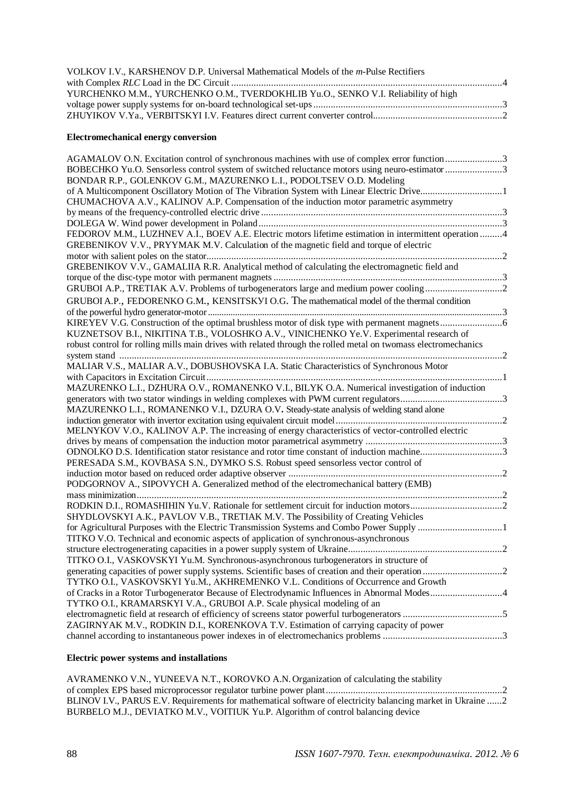| VOLKOV I.V., KARSHENOV D.P. Universal Mathematical Models of the <i>m</i> -Pulse Rectifiers |  |
|---------------------------------------------------------------------------------------------|--|
|                                                                                             |  |
| YURCHENKO M.M., YURCHENKO O.M., TVERDOKHLIB Yu.O., SENKO V.I. Reliability of high           |  |
|                                                                                             |  |
|                                                                                             |  |

#### **Electromechanical energy conversion**

| AGAMALOV O.N. Excitation control of synchronous machines with use of complex error function 3                  |  |
|----------------------------------------------------------------------------------------------------------------|--|
| BOBECHKO Yu.O. Sensorless control system of switched reluctance motors using neuro-estimator 3                 |  |
| BONDAR R.P., GOLENKOV G.M., MAZURENKO L.I., PODOLTSEV O.D. Modeling                                            |  |
| of A Multicomponent Oscillatory Motion of The Vibration System with Linear Electric Drive1                     |  |
| CHUMACHOVA A.V., KALINOV A.P. Compensation of the induction motor parametric asymmetry                         |  |
|                                                                                                                |  |
|                                                                                                                |  |
| FEDOROV M.M., LUZHNEV A.I., BOEV A.E. Electric motors lifetime estimation in intermittent operation 4          |  |
| GREBENIKOV V.V., PRYYMAK M.V. Calculation of the magnetic field and torque of electric                         |  |
|                                                                                                                |  |
| GREBENIKOV V.V., GAMALIIA R.R. Analytical method of calculating the electromagnetic field and                  |  |
|                                                                                                                |  |
|                                                                                                                |  |
| GRUBOI A.P., FEDORENKO G.M., KENSITSKVI O.G. The mathematical model of the thermal condition                   |  |
|                                                                                                                |  |
|                                                                                                                |  |
| KUZNETSOV B.I., NIKITINA T.B., VOLOSHKO A.V., VINICHENKO Ye.V. Experimental research of                        |  |
| robust control for rolling mills main drives with related through the rolled metal on twomass electromechanics |  |
|                                                                                                                |  |
| MALIAR V.S., MALIAR A.V., DOBUSHOVSKA I.A. Static Characteristics of Synchronous Motor                         |  |
|                                                                                                                |  |
| MAZURENKO L.I., DZHURA O.V., ROMANENKO V.I., BILYK O.A. Numerical investigation of induction                   |  |
|                                                                                                                |  |
| MAZURENKO L.I., ROMANENKO V.I., DZURA O.V. Steady-state analysis of welding stand alone                        |  |
|                                                                                                                |  |
| MELNYKOV V.O., KALINOV A.P. The increasing of energy characteristics of vector-controlled electric             |  |
|                                                                                                                |  |
| ODNOLKO D.S. Identification stator resistance and rotor time constant of induction machine3                    |  |
| PERESADA S.M., KOVBASA S.N., DYMKO S.S. Robust speed sensorless vector control of                              |  |
|                                                                                                                |  |
| PODGORNOV A., SIPOVYCH A. Generalized method of the electromechanical battery (EMB)                            |  |
|                                                                                                                |  |
|                                                                                                                |  |
| SHYDLOVSKYI A.K., PAVLOV V.B., TRETIAK M.V. The Possibility of Creating Vehicles                               |  |
| for Agricultural Purposes with the Electric Transmission Systems and Combo Power Supply 1                      |  |
| TITKO V.O. Technical and economic aspects of application of synchronous-asynchronous                           |  |
|                                                                                                                |  |
| TITKO O.I., VASKOVSKYI Yu.M. Synchronous-asynchronous turbogenerators in structure of                          |  |
|                                                                                                                |  |
| TYTKO O.I., VASKOVSKYI Yu.M., AKHREMENKO V.L. Conditions of Occurrence and Growth                              |  |
| of Cracks in a Rotor Turbogenerator Because of Electrodynamic Influences in Abnormal Modes4                    |  |
| TYTKO O.I., KRAMARSKYI V.A., GRUBOI A.P. Scale physical modeling of an                                         |  |
| ZAGIRNYAK M.V., RODKIN D.I., KORENKOVA T.V. Estimation of carrying capacity of power                           |  |
|                                                                                                                |  |
|                                                                                                                |  |

#### **Electric power systems and installations**

AVRAMENKO V.N., YUNEEVA N.T., KOROVKO A.N. Organization of calculating the stability of complex EPS based microprocessor regulator turbine power plant.......................................................................2 BLINOV I.V., PARUS E.V. Requirements for mathematical software of electricity balancing market in Ukraine ......2 BURBELO M.J., DEVIATKO M.V., VOITIUK Yu.P. Algorithm of control balancing device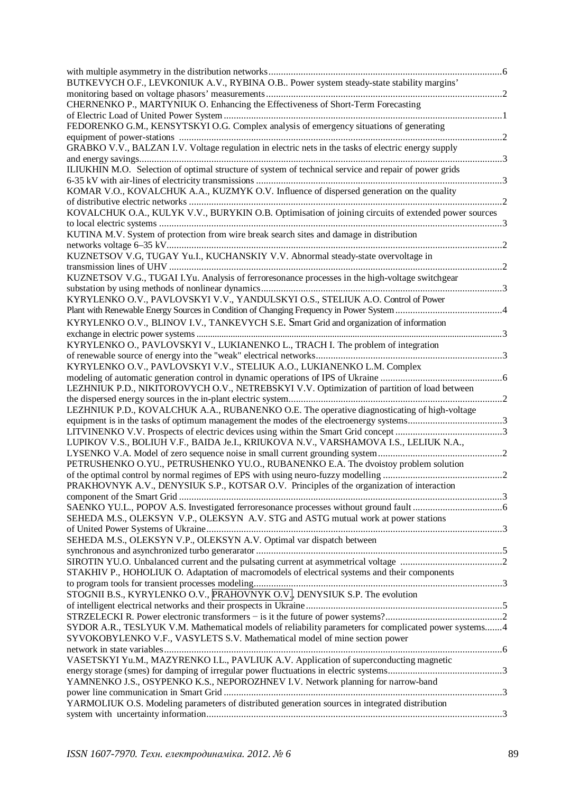| BUTKEVYCH O.F., LEVKONIUK A.V., RYBINA O.B Power system steady-state stability margins'                                                                                             |  |
|-------------------------------------------------------------------------------------------------------------------------------------------------------------------------------------|--|
| CHERNENKO P., MARTYNIUK O. Enhancing the Effectiveness of Short-Term Forecasting                                                                                                    |  |
|                                                                                                                                                                                     |  |
| FEDORENKO G.M., KENSYTSKYI O.G. Complex analysis of emergency situations of generating                                                                                              |  |
| GRABKO V.V., BALZAN I.V. Voltage regulation in electric nets in the tasks of electric energy supply                                                                                 |  |
| ILIUKHIN M.O. Selection of optimal structure of system of technical service and repair of power grids                                                                               |  |
| KOMAR V.O., KOVALCHUK A.A., KUZMYK O.V. Influence of dispersed generation on the quality                                                                                            |  |
| KOVALCHUK O.A., KULYK V.V., BURYKIN O.B. Optimisation of joining circuits of extended power sources                                                                                 |  |
| KUTINA M.V. System of protection from wire break search sites and damage in distribution                                                                                            |  |
| KUZNETSOV V.G, TUGAY Yu.I., KUCHANSKIY V.V. Abnormal steady-state overvoltage in                                                                                                    |  |
| KUZNETSOV V.G., TUGAI I.Yu. Analysis of ferroresonance processes in the high-voltage switchgear                                                                                     |  |
| KYRYLENKO O.V., PAVLOVSKYI V.V., YANDULSKYI O.S., STELIUK A.O. Control of Power                                                                                                     |  |
|                                                                                                                                                                                     |  |
| KYRYLENKO O.V., BLINOV I.V., TANKEVYCH S.E. Smart Grid and organization of information                                                                                              |  |
| KYRYLENKO O., PAVLOVSKYI V., LUKIANENKO L., TRACH I. The problem of integration                                                                                                     |  |
| KYRYLENKO O.V., PAVLOVSKYI V.V., STELIUK A.O., LUKIANENKO L.M. Complex                                                                                                              |  |
| LEZHNIUK P.D., NIKITOROVYCH O.V., NETREBSKYI V.V. Optimization of partition of load between                                                                                         |  |
| LEZHNIUK P.D., KOVALCHUK A.A., RUBANENKO O.E. The operative diagnosticating of high-voltage                                                                                         |  |
|                                                                                                                                                                                     |  |
| LUPIKOV V.S., BOLIUH V.F., BAIDA Je.I., KRIUKOVA N.V., VARSHAMOVA I.S., LELIUK N.A.,                                                                                                |  |
| PETRUSHENKO O.YU., PETRUSHENKO YU.O., RUBANENKO E.A. The dvoistoy problem solution                                                                                                  |  |
|                                                                                                                                                                                     |  |
| PRAKHOVNYK A.V., DENYSIUK S.P., KOTSAR O.V. Principles of the organization of interaction                                                                                           |  |
|                                                                                                                                                                                     |  |
| SEHEDA M.S., OLEKSYN V.P., OLEKSYN A.V. STG and ASTG mutual work at power stations                                                                                                  |  |
|                                                                                                                                                                                     |  |
| SEHEDA M.S., OLEKSYN V.P., OLEKSYN A.V. Optimal var dispatch between                                                                                                                |  |
|                                                                                                                                                                                     |  |
| STAKHIV P., HOHOLIUK O. Adaptation of macromodels of electrical systems and their components                                                                                        |  |
|                                                                                                                                                                                     |  |
| STOGNII B.S., KYRYLENKO O.V., PRAHOVNYK O.V., DENYSIUK S.P. The evolution                                                                                                           |  |
|                                                                                                                                                                                     |  |
|                                                                                                                                                                                     |  |
| SYDOR A.R., TESLYUK V.M. Mathematical models of reliability parameters for complicated power systems4<br>SYVOKOBYLENKO V.F., VASYLETS S.V. Mathematical model of mine section power |  |
| VASETSKYI Yu.M., MAZYRENKO I.L., PAVLIUK A.V. Application of superconducting magnetic                                                                                               |  |
| YAMNENKO J.S., OSYPENKO K.S., NEPOROZHNEV I.V. Network planning for narrow-band                                                                                                     |  |
|                                                                                                                                                                                     |  |
| YARMOLIUK O.S. Modeling parameters of distributed generation sources in integrated distribution                                                                                     |  |
|                                                                                                                                                                                     |  |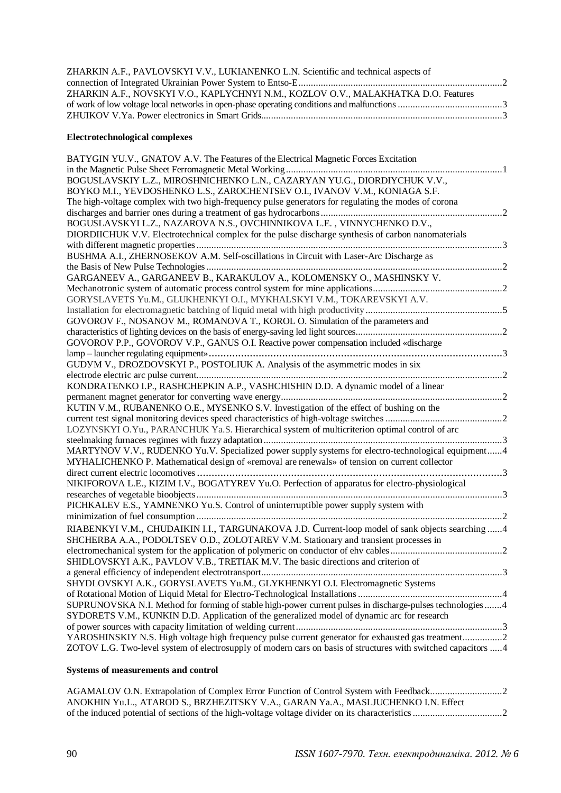| ZHARKIN A.F., PAVLOVSKYI V.V., LUKIANENKO L.N. Scientific and technical aspects of |  |
|------------------------------------------------------------------------------------|--|
|                                                                                    |  |
| ZHARKIN A.F., NOVSKYI V.O., KAPLYCHNYI N.M., KOZLOV O.V., MALAKHATKA D.O. Features |  |
|                                                                                    |  |
|                                                                                    |  |
|                                                                                    |  |

#### **Electrotechnological complexes**

| BATYGIN YU.V., GNATOV A.V. The Features of the Electrical Magnetic Forces Excitation                          |  |
|---------------------------------------------------------------------------------------------------------------|--|
|                                                                                                               |  |
| BOGUSLAVSKIY L.Z., MIROSHNICHENKO L.N., CAZARYAN YU.G., DIORDIYCHUK V.V.,                                     |  |
| BOYKO M.I., YEVDOSHENKO L.S., ZAROCHENTSEV O.I., IVANOV V.M., KONIAGA S.F.                                    |  |
| The high-voltage complex with two high-frequency pulse generators for regulating the modes of corona          |  |
|                                                                                                               |  |
| BOGUSLAVSKYI L.Z., NAZAROVA N.S., OVCHINNIKOVA L.E., VINNYCHENKO D.V.,                                        |  |
| DIORDIICHUK V.V. Electrotechnical complex for the pulse discharge synthesis of carbon nanomaterials           |  |
|                                                                                                               |  |
| BUSHMA A.I., ZHERNOSEKOV A.M. Self-oscillations in Circuit with Laser-Arc Discharge as                        |  |
|                                                                                                               |  |
| GARGANEEV A., GARGANEEV B., KARAKULOV A., KOLOMENSKY O., MASHINSKY V.                                         |  |
|                                                                                                               |  |
| GORYSLAVETS Yu.M., GLUKHENKYI O.I., MYKHALSKYI V.M., TOKAREVSKYI A.V.                                         |  |
|                                                                                                               |  |
| GOVOROV F., NOSANOV M., ROMANOVA T., KOROL O. Simulation of the parameters and                                |  |
|                                                                                                               |  |
| GOVOROV P.P., GOVOROV V.P., GANUS O.I. Reactive power compensation included «discharge                        |  |
| GUDYM V., DROZDOVSKYI P., POSTOLIUK A. Analysis of the asymmetric modes in six                                |  |
|                                                                                                               |  |
| KONDRATENKO I.P., RASHCHEPKIN A.P., VASHCHISHIN D.D. A dynamic model of a linear                              |  |
|                                                                                                               |  |
| KUTIN V.M., RUBANENKO O.E., MYSENKO S.V. Investigation of the effect of bushing on the                        |  |
|                                                                                                               |  |
| LOZYNSKYI O.Yu., PARANCHUK Ya.S. Hierarchical system of multicriterion optimal control of arc                 |  |
|                                                                                                               |  |
| MARTYNOV V.V., RUDENKO Yu.V. Specialized power supply systems for electro-technological equipment4            |  |
| MYHALICHENKO P. Mathematical design of «removal are renewals» of tension on current collector                 |  |
| . 3                                                                                                           |  |
| NIKIFOROVA L.E., KIZIM I.V., BOGATYREV Yu.O. Perfection of apparatus for electro-physiological                |  |
|                                                                                                               |  |
| PICHKALEV E.S., YAMNENKO Yu.S. Control of uninterruptible power supply system with                            |  |
|                                                                                                               |  |
| RIABENKYI V.M., CHUDAIKIN I.I., TARGUNAKOVA J.D. Current-loop model of sank objects searching  4              |  |
| SHCHERBA A.A., PODOLTSEV O.D., ZOLOTAREV V.M. Stationary and transient processes in                           |  |
|                                                                                                               |  |
| SHIDLOVSKYI A.K., PAVLOV V.B., TRETIAK M.V. The basic directions and criterion of                             |  |
| a general efficiency of independent electrotransport                                                          |  |
| SHYDLOVSKYI A.K., GORYSLAVETS Yu.M., GLYKHENKYI O.I. Electromagnetic Systems                                  |  |
|                                                                                                               |  |
| SUPRUNOVSKA N.I. Method for forming of stable high-power current pulses in discharge-pulses technologies 4    |  |
| SYDORETS V.M., KUNKIN D.D. Application of the generalized model of dynamic arc for research                   |  |
|                                                                                                               |  |
| YAROSHINSKIY N.S. High voltage high frequency pulse current generator for exhausted gas treatment2            |  |
| ZOTOV L.G. Two-level system of electrosupply of modern cars on basis of structures with switched capacitors 4 |  |

#### **Systems of measurements and control**

AGAMALOV O.N. Extrapolation of Complex Error Function of Control System with Feedback.............................2 ANOKHIN Yu.L., ATAROD S., BRZHEZITSKY V.A., GARAN Ya.A., MASLJUCHENKO I.N. Effect of the induced potential of sections of the high-voltage voltage divider on its characteristics ....................................2